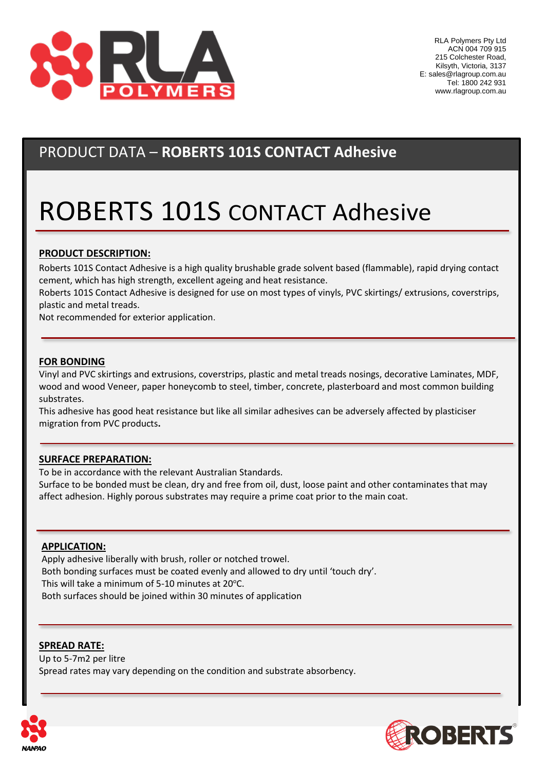

# PRODUCT DATA – **ROBERTS 101S CONTACT Adhesive**

# ROBERTS 101S CONTACT Adhesive

## **PRODUCT DESCRIPTION:**

Roberts 101S Contact Adhesive is a high quality brushable grade solvent based (flammable), rapid drying contact cement, which has high strength, excellent ageing and heat resistance.

Roberts 101S Contact Adhesive is designed for use on most types of vinyls, PVC skirtings/ extrusions, coverstrips, plastic and metal treads.

Not recommended for exterior application.

#### **FOR BONDING**

Vinyl and PVC skirtings and extrusions, coverstrips, plastic and metal treads nosings, decorative Laminates, MDF, wood and wood Veneer, paper honeycomb to steel, timber, concrete, plasterboard and most common building substrates.

This adhesive has good heat resistance but like all similar adhesives can be adversely affected by plasticiser migration from PVC products**.**

### **SURFACE PREPARATION:**

To be in accordance with the relevant Australian Standards.

Surface to be bonded must be clean, dry and free from oil, dust, loose paint and other contaminates that may affect adhesion. Highly porous substrates may require a prime coat prior to the main coat.

### **APPLICATION:**

Apply adhesive liberally with brush, roller or notched trowel. Both bonding surfaces must be coated evenly and allowed to dry until 'touch dry'. This will take a minimum of 5-10 minutes at  $20^{\circ}$ C. Both surfaces should be joined within 30 minutes of application

#### **SPREAD RATE:**

Up to 5-7m2 per litre Spread rates may vary depending on the condition and substrate absorbency.



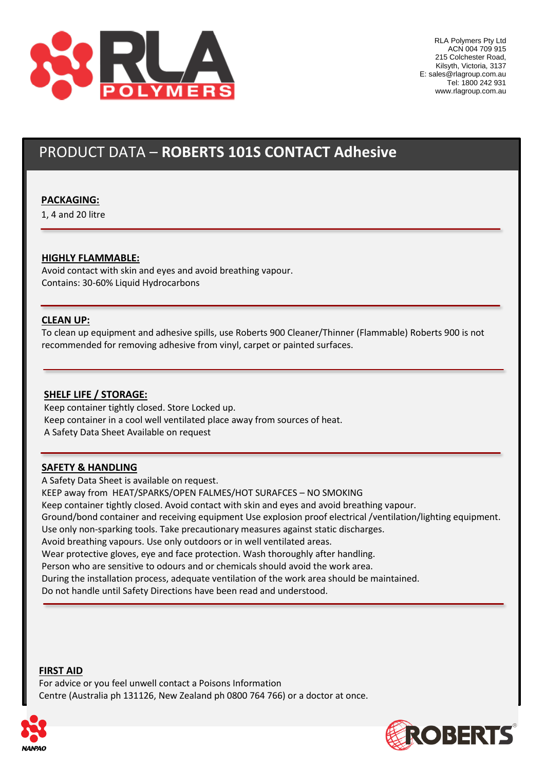

# PRODUCT DATA – **ROBERTS 101S CONTACT Adhesive**

## **PACKAGING:**

1, 4 and 20 litre

## **HIGHLY FLAMMABLE:**

Avoid contact with skin and eyes and avoid breathing vapour. Contains: 30-60% Liquid Hydrocarbons

### **CLEAN UP:**

To clean up equipment and adhesive spills, use Roberts 900 Cleaner/Thinner (Flammable) Roberts 900 is not recommended for removing adhesive from vinyl, carpet or painted surfaces.

### **SHELF LIFE / STORAGE:**

Keep container tightly closed. Store Locked up. Keep container in a cool well ventilated place away from sources of heat. A Safety Data Sheet Available on request

### **SAFETY & HANDLING**

A Safety Data Sheet is available on request. KEEP away from HEAT/SPARKS/OPEN FALMES/HOT SURAFCES – NO SMOKING Keep container tightly closed. Avoid contact with skin and eyes and avoid breathing vapour. Ground/bond container and receiving equipment Use explosion proof electrical /ventilation/lighting equipment. Use only non-sparking tools. Take precautionary measures against static discharges. Avoid breathing vapours. Use only outdoors or in well ventilated areas. Wear protective gloves, eye and face protection. Wash thoroughly after handling. Person who are sensitive to odours and or chemicals should avoid the work area. During the installation process, adequate ventilation of the work area should be maintained. Do not handle until Safety Directions have been read and understood.

#### **FIRST AID**

For advice or you feel unwell contact a Poisons Information Centre (Australia ph 131126, New Zealand ph 0800 764 766) or a doctor at once.



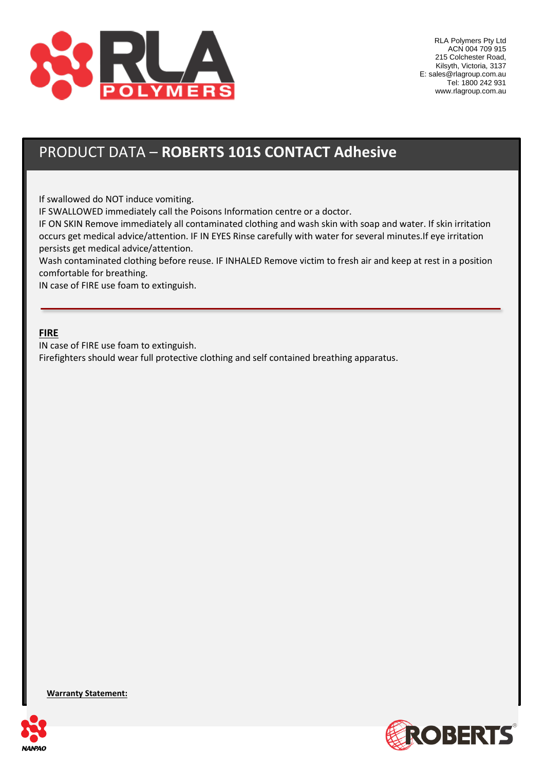

# PRODUCT DATA – **ROBERTS 101S CONTACT Adhesive**

If swallowed do NOT induce vomiting.

IF SWALLOWED immediately call the Poisons Information centre or a doctor.

IF ON SKIN Remove immediately all contaminated clothing and wash skin with soap and water. If skin irritation occurs get medical advice/attention. IF IN EYES Rinse carefully with water for several minutes.If eye irritation persists get medical advice/attention.

Wash contaminated clothing before reuse. IF INHALED Remove victim to fresh air and keep at rest in a position comfortable for breathing.

IN case of FIRE use foam to extinguish.

## **FIRE**

IN case of FIRE use foam to extinguish.

Firefighters should wear full protective clothing and self contained breathing apparatus.

**Warranty Statement:**